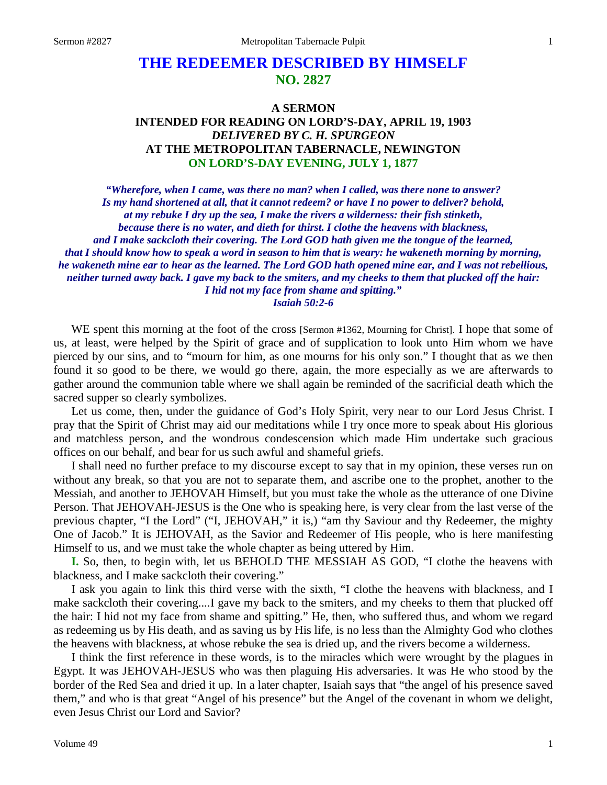# **THE REDEEMER DESCRIBED BY HIMSELF NO. 2827**

# **A SERMON INTENDED FOR READING ON LORD'S-DAY, APRIL 19, 1903** *DELIVERED BY C. H. SPURGEON* **AT THE METROPOLITAN TABERNACLE, NEWINGTON ON LORD'S-DAY EVENING, JULY 1, 1877**

*"Wherefore, when I came, was there no man? when I called, was there none to answer? Is my hand shortened at all, that it cannot redeem? or have I no power to deliver? behold, at my rebuke I dry up the sea, I make the rivers a wilderness: their fish stinketh, because there is no water, and dieth for thirst. I clothe the heavens with blackness, and I make sackcloth their covering. The Lord GOD hath given me the tongue of the learned, that I should know how to speak a word in season to him that is weary: he wakeneth morning by morning, he wakeneth mine ear to hear as the learned. The Lord GOD hath opened mine ear, and I was not rebellious, neither turned away back. I gave my back to the smiters, and my cheeks to them that plucked off the hair: I hid not my face from shame and spitting." Isaiah 50:2-6*

WE spent this morning at the foot of the cross [Sermon #1362, Mourning for Christ]. I hope that some of us, at least, were helped by the Spirit of grace and of supplication to look unto Him whom we have pierced by our sins, and to "mourn for him, as one mourns for his only son." I thought that as we then found it so good to be there, we would go there, again, the more especially as we are afterwards to gather around the communion table where we shall again be reminded of the sacrificial death which the sacred supper so clearly symbolizes.

Let us come, then, under the guidance of God's Holy Spirit, very near to our Lord Jesus Christ. I pray that the Spirit of Christ may aid our meditations while I try once more to speak about His glorious and matchless person, and the wondrous condescension which made Him undertake such gracious offices on our behalf, and bear for us such awful and shameful griefs.

I shall need no further preface to my discourse except to say that in my opinion, these verses run on without any break, so that you are not to separate them, and ascribe one to the prophet, another to the Messiah, and another to JEHOVAH Himself, but you must take the whole as the utterance of one Divine Person. That JEHOVAH-JESUS is the One who is speaking here, is very clear from the last verse of the previous chapter, "I the Lord" ("I, JEHOVAH," it is,) "am thy Saviour and thy Redeemer, the mighty One of Jacob." It is JEHOVAH, as the Savior and Redeemer of His people, who is here manifesting Himself to us, and we must take the whole chapter as being uttered by Him.

**I.** So, then, to begin with, let us BEHOLD THE MESSIAH AS GOD, "I clothe the heavens with blackness, and I make sackcloth their covering."

I ask you again to link this third verse with the sixth, "I clothe the heavens with blackness, and I make sackcloth their covering....I gave my back to the smiters, and my cheeks to them that plucked off the hair: I hid not my face from shame and spitting." He, then, who suffered thus, and whom we regard as redeeming us by His death, and as saving us by His life, is no less than the Almighty God who clothes the heavens with blackness, at whose rebuke the sea is dried up, and the rivers become a wilderness.

I think the first reference in these words, is to the miracles which were wrought by the plagues in Egypt. It was JEHOVAH-JESUS who was then plaguing His adversaries. It was He who stood by the border of the Red Sea and dried it up. In a later chapter, Isaiah says that "the angel of his presence saved them," and who is that great "Angel of his presence" but the Angel of the covenant in whom we delight, even Jesus Christ our Lord and Savior?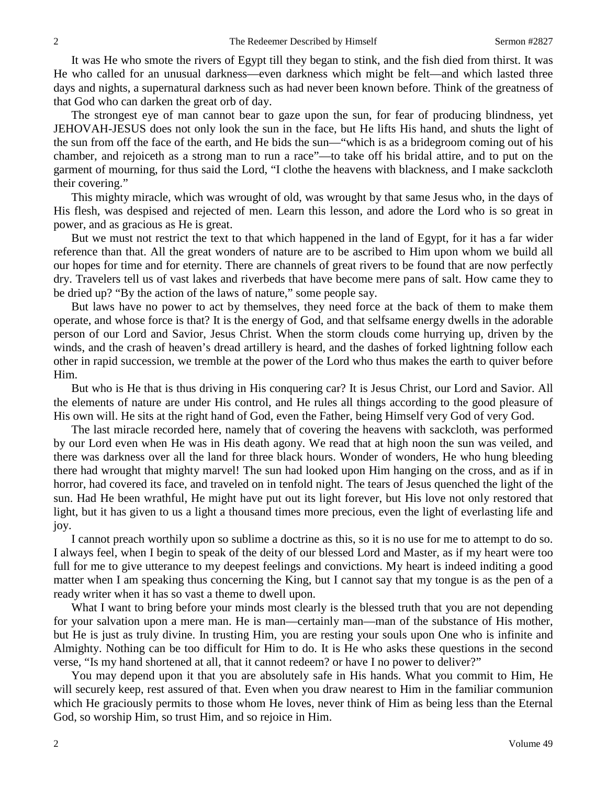It was He who smote the rivers of Egypt till they began to stink, and the fish died from thirst. It was He who called for an unusual darkness—even darkness which might be felt—and which lasted three days and nights, a supernatural darkness such as had never been known before. Think of the greatness of that God who can darken the great orb of day.

The strongest eye of man cannot bear to gaze upon the sun, for fear of producing blindness, yet JEHOVAH-JESUS does not only look the sun in the face, but He lifts His hand, and shuts the light of the sun from off the face of the earth, and He bids the sun—"which is as a bridegroom coming out of his chamber, and rejoiceth as a strong man to run a race"—to take off his bridal attire, and to put on the garment of mourning, for thus said the Lord, "I clothe the heavens with blackness, and I make sackcloth their covering."

This mighty miracle, which was wrought of old, was wrought by that same Jesus who, in the days of His flesh, was despised and rejected of men. Learn this lesson, and adore the Lord who is so great in power, and as gracious as He is great.

But we must not restrict the text to that which happened in the land of Egypt, for it has a far wider reference than that. All the great wonders of nature are to be ascribed to Him upon whom we build all our hopes for time and for eternity. There are channels of great rivers to be found that are now perfectly dry. Travelers tell us of vast lakes and riverbeds that have become mere pans of salt. How came they to be dried up? "By the action of the laws of nature," some people say.

But laws have no power to act by themselves, they need force at the back of them to make them operate, and whose force is that? It is the energy of God, and that selfsame energy dwells in the adorable person of our Lord and Savior, Jesus Christ. When the storm clouds come hurrying up, driven by the winds, and the crash of heaven's dread artillery is heard, and the dashes of forked lightning follow each other in rapid succession, we tremble at the power of the Lord who thus makes the earth to quiver before Him.

But who is He that is thus driving in His conquering car? It is Jesus Christ, our Lord and Savior. All the elements of nature are under His control, and He rules all things according to the good pleasure of His own will. He sits at the right hand of God, even the Father, being Himself very God of very God.

The last miracle recorded here, namely that of covering the heavens with sackcloth, was performed by our Lord even when He was in His death agony. We read that at high noon the sun was veiled, and there was darkness over all the land for three black hours. Wonder of wonders, He who hung bleeding there had wrought that mighty marvel! The sun had looked upon Him hanging on the cross, and as if in horror, had covered its face, and traveled on in tenfold night. The tears of Jesus quenched the light of the sun. Had He been wrathful, He might have put out its light forever, but His love not only restored that light, but it has given to us a light a thousand times more precious, even the light of everlasting life and joy.

I cannot preach worthily upon so sublime a doctrine as this, so it is no use for me to attempt to do so. I always feel, when I begin to speak of the deity of our blessed Lord and Master, as if my heart were too full for me to give utterance to my deepest feelings and convictions. My heart is indeed inditing a good matter when I am speaking thus concerning the King, but I cannot say that my tongue is as the pen of a ready writer when it has so vast a theme to dwell upon.

What I want to bring before your minds most clearly is the blessed truth that you are not depending for your salvation upon a mere man. He is man—certainly man—man of the substance of His mother, but He is just as truly divine. In trusting Him, you are resting your souls upon One who is infinite and Almighty. Nothing can be too difficult for Him to do. It is He who asks these questions in the second verse, "Is my hand shortened at all, that it cannot redeem? or have I no power to deliver?"

You may depend upon it that you are absolutely safe in His hands. What you commit to Him, He will securely keep, rest assured of that. Even when you draw nearest to Him in the familiar communion which He graciously permits to those whom He loves, never think of Him as being less than the Eternal God, so worship Him, so trust Him, and so rejoice in Him.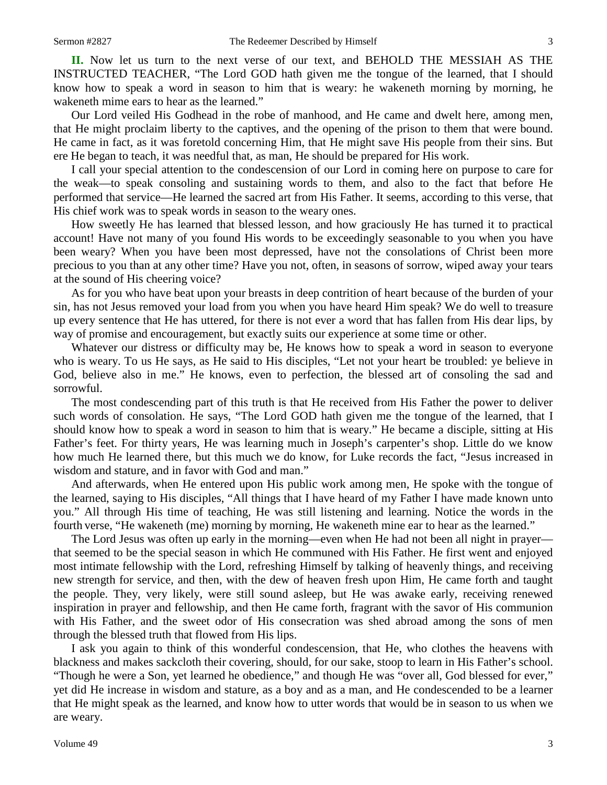**II.** Now let us turn to the next verse of our text, and BEHOLD THE MESSIAH AS THE INSTRUCTED TEACHER, "The Lord GOD hath given me the tongue of the learned, that I should know how to speak a word in season to him that is weary: he wakeneth morning by morning, he wakeneth mime ears to hear as the learned."

Our Lord veiled His Godhead in the robe of manhood, and He came and dwelt here, among men, that He might proclaim liberty to the captives, and the opening of the prison to them that were bound. He came in fact, as it was foretold concerning Him, that He might save His people from their sins. But ere He began to teach, it was needful that, as man, He should be prepared for His work.

I call your special attention to the condescension of our Lord in coming here on purpose to care for the weak—to speak consoling and sustaining words to them, and also to the fact that before He performed that service—He learned the sacred art from His Father. It seems, according to this verse, that His chief work was to speak words in season to the weary ones.

How sweetly He has learned that blessed lesson, and how graciously He has turned it to practical account! Have not many of you found His words to be exceedingly seasonable to you when you have been weary? When you have been most depressed, have not the consolations of Christ been more precious to you than at any other time? Have you not, often, in seasons of sorrow, wiped away your tears at the sound of His cheering voice?

As for you who have beat upon your breasts in deep contrition of heart because of the burden of your sin, has not Jesus removed your load from you when you have heard Him speak? We do well to treasure up every sentence that He has uttered, for there is not ever a word that has fallen from His dear lips, by way of promise and encouragement, but exactly suits our experience at some time or other.

Whatever our distress or difficulty may be, He knows how to speak a word in season to everyone who is weary. To us He says, as He said to His disciples, "Let not your heart be troubled: ye believe in God, believe also in me." He knows, even to perfection, the blessed art of consoling the sad and sorrowful.

The most condescending part of this truth is that He received from His Father the power to deliver such words of consolation. He says, "The Lord GOD hath given me the tongue of the learned, that I should know how to speak a word in season to him that is weary." He became a disciple, sitting at His Father's feet. For thirty years, He was learning much in Joseph's carpenter's shop. Little do we know how much He learned there, but this much we do know, for Luke records the fact, "Jesus increased in wisdom and stature, and in favor with God and man."

And afterwards, when He entered upon His public work among men, He spoke with the tongue of the learned, saying to His disciples, "All things that I have heard of my Father I have made known unto you." All through His time of teaching, He was still listening and learning. Notice the words in the fourth verse, "He wakeneth (me) morning by morning, He wakeneth mine ear to hear as the learned."

The Lord Jesus was often up early in the morning—even when He had not been all night in prayer that seemed to be the special season in which He communed with His Father. He first went and enjoyed most intimate fellowship with the Lord, refreshing Himself by talking of heavenly things, and receiving new strength for service, and then, with the dew of heaven fresh upon Him, He came forth and taught the people. They, very likely, were still sound asleep, but He was awake early, receiving renewed inspiration in prayer and fellowship, and then He came forth, fragrant with the savor of His communion with His Father, and the sweet odor of His consecration was shed abroad among the sons of men through the blessed truth that flowed from His lips.

I ask you again to think of this wonderful condescension, that He, who clothes the heavens with blackness and makes sackcloth their covering, should, for our sake, stoop to learn in His Father's school. "Though he were a Son, yet learned he obedience," and though He was "over all, God blessed for ever," yet did He increase in wisdom and stature, as a boy and as a man, and He condescended to be a learner that He might speak as the learned, and know how to utter words that would be in season to us when we are weary.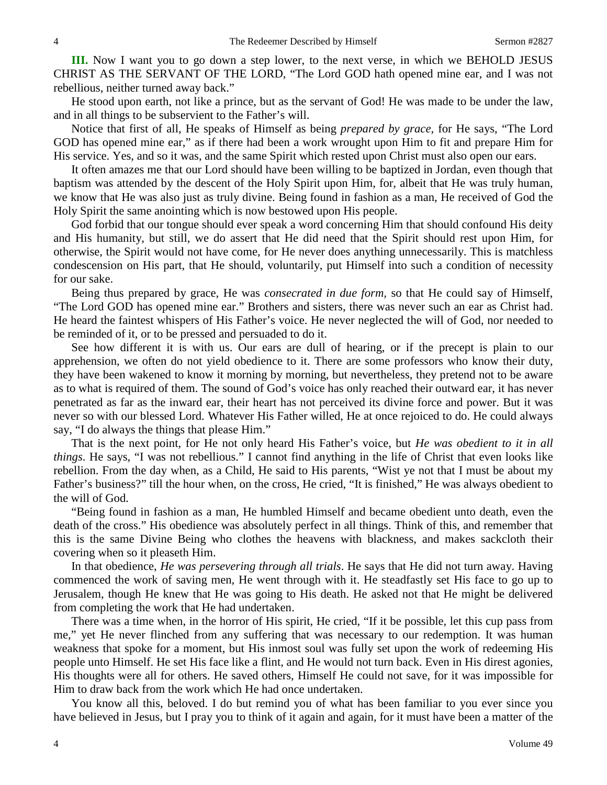**III.** Now I want you to go down a step lower, to the next verse, in which we BEHOLD JESUS CHRIST AS THE SERVANT OF THE LORD, "The Lord GOD hath opened mine ear, and I was not rebellious, neither turned away back."

He stood upon earth, not like a prince, but as the servant of God! He was made to be under the law, and in all things to be subservient to the Father's will.

Notice that first of all, He speaks of Himself as being *prepared by grace,* for He says, "The Lord GOD has opened mine ear," as if there had been a work wrought upon Him to fit and prepare Him for His service. Yes, and so it was, and the same Spirit which rested upon Christ must also open our ears.

It often amazes me that our Lord should have been willing to be baptized in Jordan, even though that baptism was attended by the descent of the Holy Spirit upon Him, for, albeit that He was truly human, we know that He was also just as truly divine. Being found in fashion as a man, He received of God the Holy Spirit the same anointing which is now bestowed upon His people.

God forbid that our tongue should ever speak a word concerning Him that should confound His deity and His humanity, but still, we do assert that He did need that the Spirit should rest upon Him, for otherwise, the Spirit would not have come, for He never does anything unnecessarily. This is matchless condescension on His part, that He should, voluntarily, put Himself into such a condition of necessity for our sake.

Being thus prepared by grace, He was *consecrated in due form,* so that He could say of Himself, "The Lord GOD has opened mine ear." Brothers and sisters, there was never such an ear as Christ had. He heard the faintest whispers of His Father's voice. He never neglected the will of God, nor needed to be reminded of it, or to be pressed and persuaded to do it.

See how different it is with us. Our ears are dull of hearing, or if the precept is plain to our apprehension, we often do not yield obedience to it. There are some professors who know their duty, they have been wakened to know it morning by morning, but nevertheless, they pretend not to be aware as to what is required of them. The sound of God's voice has only reached their outward ear, it has never penetrated as far as the inward ear, their heart has not perceived its divine force and power. But it was never so with our blessed Lord. Whatever His Father willed, He at once rejoiced to do. He could always say, "I do always the things that please Him."

That is the next point, for He not only heard His Father's voice, but *He was obedient to it in all things*. He says, "I was not rebellious." I cannot find anything in the life of Christ that even looks like rebellion. From the day when, as a Child, He said to His parents, "Wist ye not that I must be about my Father's business?" till the hour when, on the cross, He cried, "It is finished," He was always obedient to the will of God.

"Being found in fashion as a man, He humbled Himself and became obedient unto death, even the death of the cross." His obedience was absolutely perfect in all things. Think of this, and remember that this is the same Divine Being who clothes the heavens with blackness, and makes sackcloth their covering when so it pleaseth Him.

In that obedience, *He was persevering through all trials*. He says that He did not turn away. Having commenced the work of saving men, He went through with it. He steadfastly set His face to go up to Jerusalem, though He knew that He was going to His death. He asked not that He might be delivered from completing the work that He had undertaken.

There was a time when, in the horror of His spirit, He cried, "If it be possible, let this cup pass from me," yet He never flinched from any suffering that was necessary to our redemption. It was human weakness that spoke for a moment, but His inmost soul was fully set upon the work of redeeming His people unto Himself. He set His face like a flint, and He would not turn back. Even in His direst agonies, His thoughts were all for others. He saved others, Himself He could not save, for it was impossible for Him to draw back from the work which He had once undertaken.

You know all this, beloved. I do but remind you of what has been familiar to you ever since you have believed in Jesus, but I pray you to think of it again and again, for it must have been a matter of the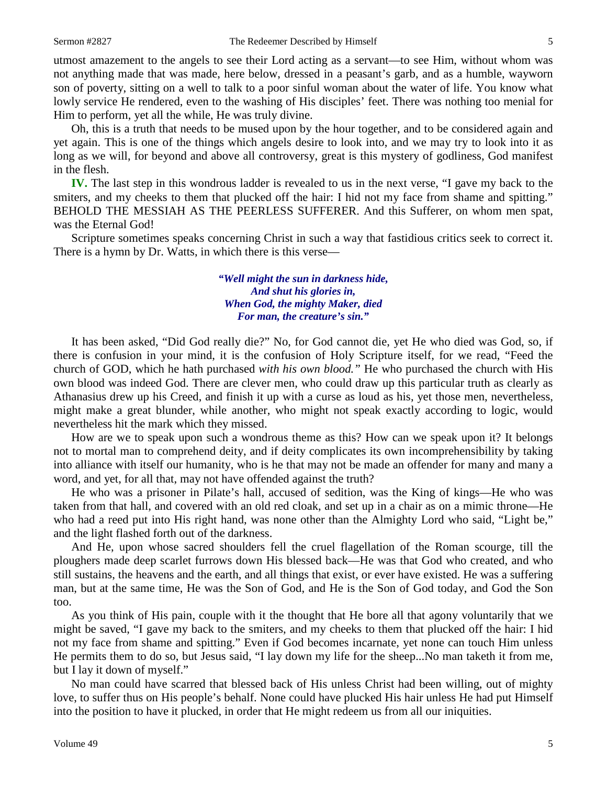utmost amazement to the angels to see their Lord acting as a servant—to see Him, without whom was not anything made that was made, here below, dressed in a peasant's garb, and as a humble, wayworn son of poverty, sitting on a well to talk to a poor sinful woman about the water of life. You know what lowly service He rendered, even to the washing of His disciples' feet. There was nothing too menial for Him to perform, yet all the while, He was truly divine.

Oh, this is a truth that needs to be mused upon by the hour together, and to be considered again and yet again. This is one of the things which angels desire to look into, and we may try to look into it as long as we will, for beyond and above all controversy, great is this mystery of godliness, God manifest in the flesh.

**IV.** The last step in this wondrous ladder is revealed to us in the next verse, "I gave my back to the smiters, and my cheeks to them that plucked off the hair: I hid not my face from shame and spitting." BEHOLD THE MESSIAH AS THE PEERLESS SUFFERER. And this Sufferer, on whom men spat, was the Eternal God!

Scripture sometimes speaks concerning Christ in such a way that fastidious critics seek to correct it. There is a hymn by Dr. Watts, in which there is this verse—

> *"Well might the sun in darkness hide, And shut his glories in, When God, the mighty Maker, died For man, the creature's sin."*

It has been asked, "Did God really die?" No, for God cannot die, yet He who died was God, so, if there is confusion in your mind, it is the confusion of Holy Scripture itself, for we read, "Feed the church of GOD, which he hath purchased *with his own blood."* He who purchased the church with His own blood was indeed God. There are clever men, who could draw up this particular truth as clearly as Athanasius drew up his Creed, and finish it up with a curse as loud as his, yet those men, nevertheless, might make a great blunder, while another, who might not speak exactly according to logic, would nevertheless hit the mark which they missed.

How are we to speak upon such a wondrous theme as this? How can we speak upon it? It belongs not to mortal man to comprehend deity, and if deity complicates its own incomprehensibility by taking into alliance with itself our humanity, who is he that may not be made an offender for many and many a word, and yet, for all that, may not have offended against the truth?

He who was a prisoner in Pilate's hall, accused of sedition, was the King of kings—He who was taken from that hall, and covered with an old red cloak, and set up in a chair as on a mimic throne—He who had a reed put into His right hand, was none other than the Almighty Lord who said, "Light be," and the light flashed forth out of the darkness.

And He, upon whose sacred shoulders fell the cruel flagellation of the Roman scourge, till the ploughers made deep scarlet furrows down His blessed back—He was that God who created, and who still sustains, the heavens and the earth, and all things that exist, or ever have existed. He was a suffering man, but at the same time, He was the Son of God, and He is the Son of God today, and God the Son too.

As you think of His pain, couple with it the thought that He bore all that agony voluntarily that we might be saved, "I gave my back to the smiters, and my cheeks to them that plucked off the hair: I hid not my face from shame and spitting." Even if God becomes incarnate, yet none can touch Him unless He permits them to do so, but Jesus said, "I lay down my life for the sheep...No man taketh it from me, but I lay it down of myself."

No man could have scarred that blessed back of His unless Christ had been willing, out of mighty love, to suffer thus on His people's behalf. None could have plucked His hair unless He had put Himself into the position to have it plucked, in order that He might redeem us from all our iniquities.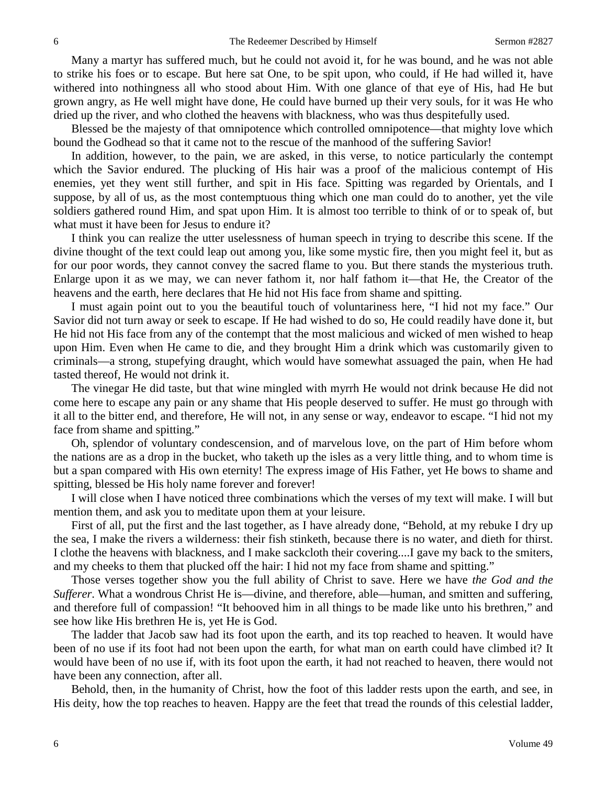Many a martyr has suffered much, but he could not avoid it, for he was bound, and he was not able to strike his foes or to escape. But here sat One, to be spit upon, who could, if He had willed it, have withered into nothingness all who stood about Him. With one glance of that eye of His, had He but grown angry, as He well might have done, He could have burned up their very souls, for it was He who dried up the river, and who clothed the heavens with blackness, who was thus despitefully used.

Blessed be the majesty of that omnipotence which controlled omnipotence—that mighty love which bound the Godhead so that it came not to the rescue of the manhood of the suffering Savior!

In addition, however, to the pain, we are asked, in this verse, to notice particularly the contempt which the Savior endured. The plucking of His hair was a proof of the malicious contempt of His enemies, yet they went still further, and spit in His face. Spitting was regarded by Orientals, and I suppose, by all of us, as the most contemptuous thing which one man could do to another, yet the vile soldiers gathered round Him, and spat upon Him. It is almost too terrible to think of or to speak of, but what must it have been for Jesus to endure it?

I think you can realize the utter uselessness of human speech in trying to describe this scene. If the divine thought of the text could leap out among you, like some mystic fire, then you might feel it, but as for our poor words, they cannot convey the sacred flame to you. But there stands the mysterious truth. Enlarge upon it as we may, we can never fathom it, nor half fathom it—that He, the Creator of the heavens and the earth, here declares that He hid not His face from shame and spitting.

I must again point out to you the beautiful touch of voluntariness here, "I hid not my face." Our Savior did not turn away or seek to escape. If He had wished to do so, He could readily have done it, but He hid not His face from any of the contempt that the most malicious and wicked of men wished to heap upon Him. Even when He came to die, and they brought Him a drink which was customarily given to criminals—a strong, stupefying draught, which would have somewhat assuaged the pain, when He had tasted thereof, He would not drink it.

The vinegar He did taste, but that wine mingled with myrrh He would not drink because He did not come here to escape any pain or any shame that His people deserved to suffer. He must go through with it all to the bitter end, and therefore, He will not, in any sense or way, endeavor to escape. "I hid not my face from shame and spitting."

Oh, splendor of voluntary condescension, and of marvelous love, on the part of Him before whom the nations are as a drop in the bucket, who taketh up the isles as a very little thing, and to whom time is but a span compared with His own eternity! The express image of His Father, yet He bows to shame and spitting, blessed be His holy name forever and forever!

I will close when I have noticed three combinations which the verses of my text will make. I will but mention them, and ask you to meditate upon them at your leisure.

First of all, put the first and the last together, as I have already done, "Behold, at my rebuke I dry up the sea, I make the rivers a wilderness: their fish stinketh, because there is no water, and dieth for thirst. I clothe the heavens with blackness, and I make sackcloth their covering....I gave my back to the smiters, and my cheeks to them that plucked off the hair: I hid not my face from shame and spitting."

Those verses together show you the full ability of Christ to save. Here we have *the God and the Sufferer*. What a wondrous Christ He is—divine, and therefore, able—human, and smitten and suffering, and therefore full of compassion! "It behooved him in all things to be made like unto his brethren," and see how like His brethren He is, yet He is God.

The ladder that Jacob saw had its foot upon the earth, and its top reached to heaven. It would have been of no use if its foot had not been upon the earth, for what man on earth could have climbed it? It would have been of no use if, with its foot upon the earth, it had not reached to heaven, there would not have been any connection, after all.

Behold, then, in the humanity of Christ, how the foot of this ladder rests upon the earth, and see, in His deity, how the top reaches to heaven. Happy are the feet that tread the rounds of this celestial ladder,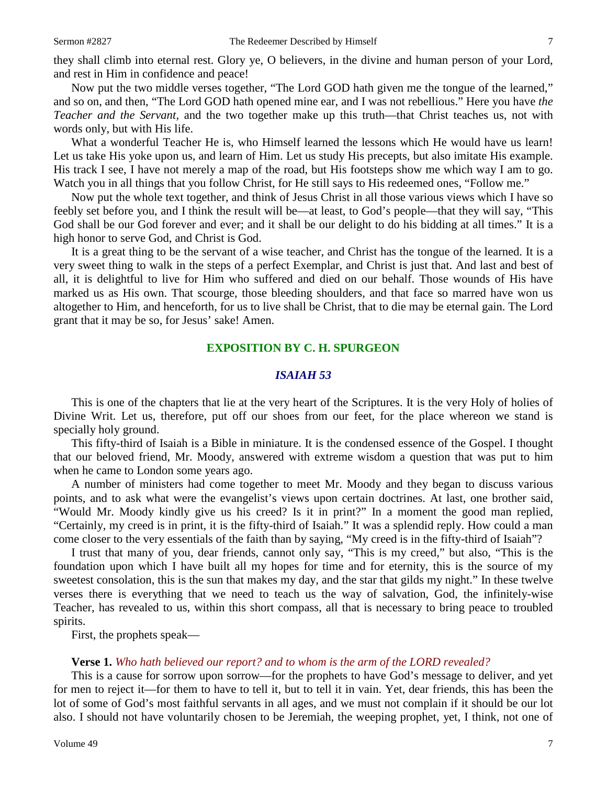they shall climb into eternal rest. Glory ye, O believers, in the divine and human person of your Lord, and rest in Him in confidence and peace!

Now put the two middle verses together, "The Lord GOD hath given me the tongue of the learned," and so on, and then, "The Lord GOD hath opened mine ear, and I was not rebellious." Here you have *the Teacher and the Servant,* and the two together make up this truth—that Christ teaches us, not with words only, but with His life.

What a wonderful Teacher He is, who Himself learned the lessons which He would have us learn! Let us take His yoke upon us, and learn of Him. Let us study His precepts, but also imitate His example. His track I see, I have not merely a map of the road, but His footsteps show me which way I am to go. Watch you in all things that you follow Christ, for He still says to His redeemed ones, "Follow me."

Now put the whole text together, and think of Jesus Christ in all those various views which I have so feebly set before you, and I think the result will be—at least, to God's people—that they will say, "This God shall be our God forever and ever; and it shall be our delight to do his bidding at all times." It is a high honor to serve God, and Christ is God.

It is a great thing to be the servant of a wise teacher, and Christ has the tongue of the learned. It is a very sweet thing to walk in the steps of a perfect Exemplar, and Christ is just that. And last and best of all, it is delightful to live for Him who suffered and died on our behalf. Those wounds of His have marked us as His own. That scourge, those bleeding shoulders, and that face so marred have won us altogether to Him, and henceforth, for us to live shall be Christ, that to die may be eternal gain. The Lord grant that it may be so, for Jesus' sake! Amen.

#### **EXPOSITION BY C. H. SPURGEON**

## *ISAIAH 53*

This is one of the chapters that lie at the very heart of the Scriptures. It is the very Holy of holies of Divine Writ. Let us, therefore, put off our shoes from our feet, for the place whereon we stand is specially holy ground.

This fifty-third of Isaiah is a Bible in miniature. It is the condensed essence of the Gospel. I thought that our beloved friend, Mr. Moody, answered with extreme wisdom a question that was put to him when he came to London some years ago.

A number of ministers had come together to meet Mr. Moody and they began to discuss various points, and to ask what were the evangelist's views upon certain doctrines. At last, one brother said, "Would Mr. Moody kindly give us his creed? Is it in print?" In a moment the good man replied, "Certainly, my creed is in print, it is the fifty-third of Isaiah." It was a splendid reply. How could a man come closer to the very essentials of the faith than by saying, "My creed is in the fifty-third of Isaiah"?

I trust that many of you, dear friends, cannot only say, "This is my creed," but also, "This is the foundation upon which I have built all my hopes for time and for eternity, this is the source of my sweetest consolation, this is the sun that makes my day, and the star that gilds my night." In these twelve verses there is everything that we need to teach us the way of salvation, God, the infinitely-wise Teacher, has revealed to us, within this short compass, all that is necessary to bring peace to troubled spirits.

First, the prophets speak—

#### **Verse 1.** *Who hath believed our report? and to whom is the arm of the LORD revealed?*

This is a cause for sorrow upon sorrow—for the prophets to have God's message to deliver, and yet for men to reject it—for them to have to tell it, but to tell it in vain. Yet, dear friends, this has been the lot of some of God's most faithful servants in all ages, and we must not complain if it should be our lot also. I should not have voluntarily chosen to be Jeremiah, the weeping prophet, yet, I think, not one of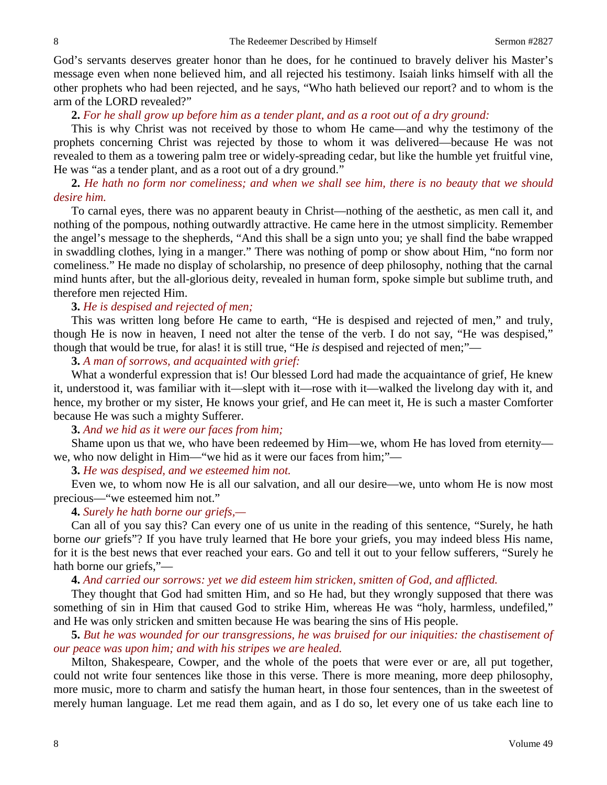God's servants deserves greater honor than he does, for he continued to bravely deliver his Master's message even when none believed him, and all rejected his testimony. Isaiah links himself with all the other prophets who had been rejected, and he says, "Who hath believed our report? and to whom is the arm of the LORD revealed?"

## **2.** *For he shall grow up before him as a tender plant, and as a root out of a dry ground:*

This is why Christ was not received by those to whom He came—and why the testimony of the prophets concerning Christ was rejected by those to whom it was delivered—because He was not revealed to them as a towering palm tree or widely-spreading cedar, but like the humble yet fruitful vine, He was "as a tender plant, and as a root out of a dry ground."

## **2.** *He hath no form nor comeliness; and when we shall see him, there is no beauty that we should desire him.*

To carnal eyes, there was no apparent beauty in Christ—nothing of the aesthetic, as men call it, and nothing of the pompous, nothing outwardly attractive. He came here in the utmost simplicity. Remember the angel's message to the shepherds, "And this shall be a sign unto you; ye shall find the babe wrapped in swaddling clothes, lying in a manger." There was nothing of pomp or show about Him, "no form nor comeliness." He made no display of scholarship, no presence of deep philosophy, nothing that the carnal mind hunts after, but the all-glorious deity, revealed in human form, spoke simple but sublime truth, and therefore men rejected Him.

## **3.** *He is despised and rejected of men;*

This was written long before He came to earth, "He is despised and rejected of men," and truly, though He is now in heaven, I need not alter the tense of the verb. I do not say, "He was despised," though that would be true, for alas! it is still true, "He *is* despised and rejected of men;"—

## **3.** *A man of sorrows, and acquainted with grief:*

What a wonderful expression that is! Our blessed Lord had made the acquaintance of grief, He knew it, understood it, was familiar with it—slept with it—rose with it—walked the livelong day with it, and hence, my brother or my sister, He knows your grief, and He can meet it, He is such a master Comforter because He was such a mighty Sufferer.

#### **3.** *And we hid as it were our faces from him;*

Shame upon us that we, who have been redeemed by Him—we, whom He has loved from eternity we, who now delight in Him—"we hid as it were our faces from him;"—

**3.** *He was despised, and we esteemed him not.*

Even we, to whom now He is all our salvation, and all our desire—we, unto whom He is now most precious—"we esteemed him not."

## **4.** *Surely he hath borne our griefs,—*

Can all of you say this? Can every one of us unite in the reading of this sentence, "Surely, he hath borne *our* griefs"? If you have truly learned that He bore your griefs, you may indeed bless His name, for it is the best news that ever reached your ears. Go and tell it out to your fellow sufferers, "Surely he hath borne our griefs,"—

## **4.** *And carried our sorrows: yet we did esteem him stricken, smitten of God, and afflicted.*

They thought that God had smitten Him, and so He had, but they wrongly supposed that there was something of sin in Him that caused God to strike Him, whereas He was "holy, harmless, undefiled," and He was only stricken and smitten because He was bearing the sins of His people.

# **5.** *But he was wounded for our transgressions, he was bruised for our iniquities: the chastisement of our peace was upon him; and with his stripes we are healed.*

Milton, Shakespeare, Cowper, and the whole of the poets that were ever or are, all put together, could not write four sentences like those in this verse. There is more meaning, more deep philosophy, more music, more to charm and satisfy the human heart, in those four sentences, than in the sweetest of merely human language. Let me read them again, and as I do so, let every one of us take each line to